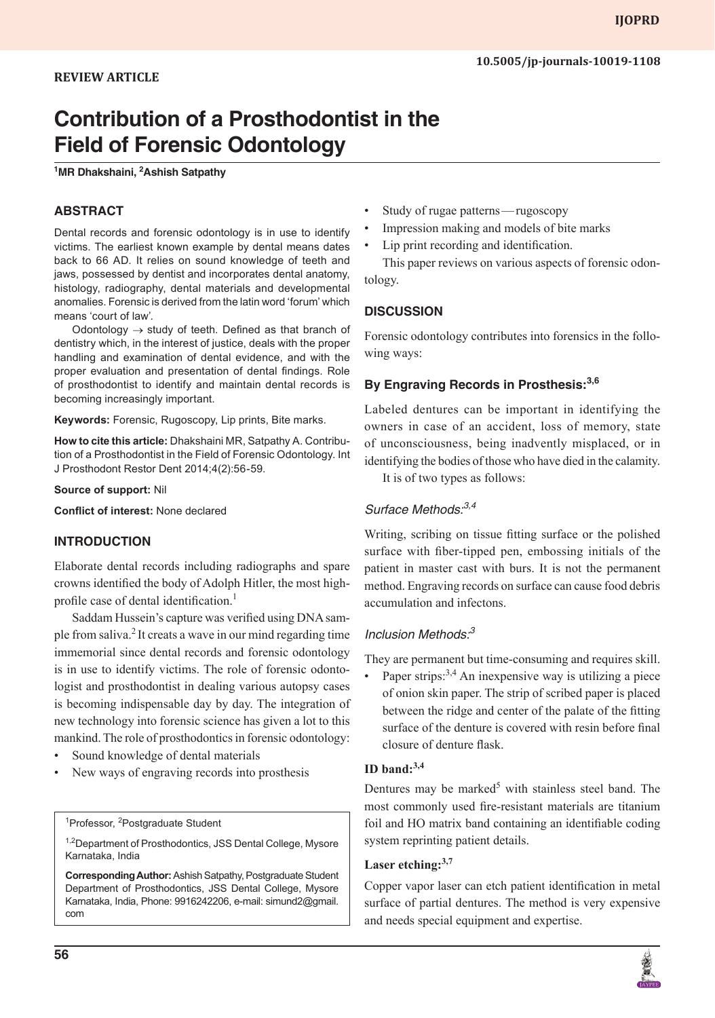# **Contribution of a Prosthodontist in the Field of Forensic Odontology**

#### **1 MR Dhakshaini, 2 Ashish Satpathy**

### **ABSTRACT**

Dental records and forensic odontology is in use to identify victims. The earliest known example by dental means dates back to 66 AD. It relies on sound knowledge of teeth and jaws, possessed by dentist and incorporates dental anatomy, histology, radiography, dental materials and developmental anomalies. Forensic is derived from the latin word 'forum' which means 'court of law'.

Odontology  $\rightarrow$  study of teeth. Defined as that branch of dentistry which, in the interest of justice, deals with the proper handling and examination of dental evidence, and with the proper evaluation and presentation of dental findings. Role of prosthodontist to identify and maintain dental records is becoming increasingly important.

**Keywords:** Forensic, Rugoscopy, Lip prints, Bite marks.

**How to cite this article:** Dhakshaini MR, Satpathy A. Contribution of a Prosthodontist in the Field of Forensic Odontology. Int J Prosthodont Restor Dent 2014;4(2):56-59.

#### **Source of support:** Nil

**Conflict of interest:** None declared

#### **INTRODUCTION**

Elaborate dental records including radiographs and spare crowns identified the body of Adolph Hitler, the most highprofile case of dental identification.<sup>1</sup>

Saddam Hussein's capture was verified using DNA sample from saliva.<sup>2</sup>It creats a wave in our mind regarding time immemorial since dental records and forensic odontology is in use to identify victims. The role of forensic odontologist and prosthodontist in dealing various autopsy cases is becoming indispensable day by day. The integration of new technology into forensic science has given a lot to this mankind. The role of prosthodontics in forensic odontology:

- Sound knowledge of dental materials
- New ways of engraving records into prosthesis

<sup>1</sup>Professor, <sup>2</sup>Postgraduate Student

<sup>1,2</sup>Department of Prosthodontics, JSS Dental College, Mysore Karnataka, India

**Corresponding Author:** Ashish Satpathy, Postgraduate Student Department of Prosthodontics, JSS Dental College, Mysore Karnataka, India, Phone: 9916242206, e-mail: simund2@gmail. com

- Study of rugae patterns—rugoscopy
- Impression making and models of bite marks
- Lip print recording and identification.

This paper reviews on various aspects of forensic odontology.

#### **DISCUSSION**

Forensic odontology contributes into forensics in the following ways:

#### **By Engraving Records in Prosthesis:3,6**

Labeled dentures can be important in identifying the owners in case of an accident, loss of memory, state of unconsciousness, being inadvently misplaced, or in identifying the bodies of those who have died in the calamity.

It is of two types as follows:

#### *Surface Methods:3,4*

Writing, scribing on tissue fitting surface or the polished surface with fiber-tipped pen, embossing initials of the patient in master cast with burs. It is not the permanent method. Engraving records on surface can cause food debris accumulation and infectons.

#### *Inclusion Methods:<sup>3</sup>*

They are permanent but time-consuming and requires skill.

Paper strips: $3,4$  An inexpensive way is utilizing a piece of onion skin paper. The strip of scribed paper is placed between the ridge and center of the palate of the fitting surface of the denture is covered with resin before final closure of denture flask.

#### **ID band:3,4**

Dentures may be marked<sup>5</sup> with stainless steel band. The most commonly used fire-resistant materials are titanium foil and HO matrix band containing an identifiable coding system reprinting patient details.

#### **Laser etching:3,7**

Copper vapor laser can etch patient identification in metal surface of partial dentures. The method is very expensive and needs special equipment and expertise.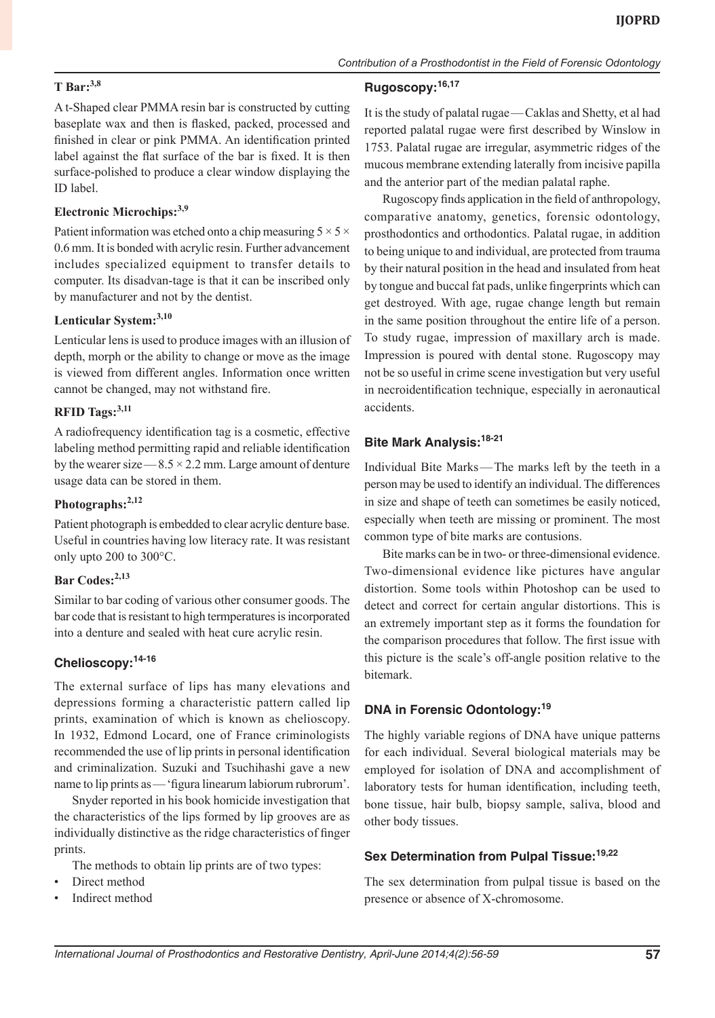A t-Shaped clear PMMA resin bar is constructed by cutting baseplate wax and then is flasked, packed, processed and finished in clear or pink PMMA. An identification printed label against the flat surface of the bar is fixed. It is then surface-polished to produce a clear window displaying the ID label.

#### **Electronic Microchips:3,9**

**T Bar:3,8**

Patient information was etched onto a chip measuring  $5 \times 5 \times$ 0.6 mm. It is bonded with acrylic resin. Further advancement includes specialized equipment to transfer details to computer. Its disadvan-tage is that it can be inscribed only by manufacturer and not by the dentist.

#### **Lenticular System:3,10**

Lenticular lens is used to produce images with an illusion of depth, morph or the ability to change or move as the image is viewed from different angles. Information once written cannot be changed, may not withstand fire.

#### **RFID Tags:3,11**

A radiofrequency identification tag is a cosmetic, effective labeling method permitting rapid and reliable identification by the wearer size  $-8.5 \times 2.2$  mm. Large amount of denture usage data can be stored in them.

#### **Photographs:2,12**

Patient photograph is embedded to clear acrylic denture base. Useful in countries having low literacy rate. It was resistant only upto 200 to 300°C.

#### **Bar Codes:2,13**

Similar to bar coding of various other consumer goods. The bar code that is resistant to high termperatures is incorporated into a denture and sealed with heat cure acrylic resin.

#### **Chelioscopy:14-16**

The external surface of lips has many elevations and depressions forming a characteristic pattern called lip prints, examination of which is known as chelioscopy. In 1932, Edmond Locard, one of France criminologists recommended the use of lip prints in personal identification and criminalization. Suzuki and Tsuchihashi gave a new name to lip prints as—'figura linearum labiorum rubrorum'.

Snyder reported in his book homicide investigation that the characteristics of the lips formed by lip grooves are as individually distinctive as the ridge characteristics of finger prints.

- The methods to obtain lip prints are of two types:
- Direct method
- Indirect method

### **Rugoscopy:16,17**

It is the study of palatal rugae—Caklas and Shetty, et al had reported palatal rugae were first described by Winslow in 1753. Palatal rugae are irregular, asymmetric ridges of the mucous membrane extending laterally from incisive papilla and the anterior part of the median palatal raphe.

*Contribution of a Prosthodontist in the Field of Forensic Odontology*

Rugoscopy finds application in the field of anthropology, comparative anatomy, genetics, forensic odontology, prosthodontics and orthodontics. Palatal rugae, in addition to being unique to and individual, are protected from trauma by their natural position in the head and insulated from heat by tongue and buccal fat pads, unlike fingerprints which can get destroyed. With age, rugae change length but remain in the same position throughout the entire life of a person. To study rugae, impression of maxillary arch is made. Impression is poured with dental stone. Rugoscopy may not be so useful in crime scene investigation but very useful in necroidentification technique, especially in aeronautical accidents.

# **Bite Mark Analysis:18-21**

Individual Bite Marks—The marks left by the teeth in a person may be used to identify an individual. The differences in size and shape of teeth can sometimes be easily noticed, especially when teeth are missing or prominent. The most common type of bite marks are contusions.

Bite marks can be in two- or three-dimensional evidence. Two-dimensional evidence like pictures have angular distortion. Some tools within Photoshop can be used to detect and correct for certain angular distortions. This is an extremely important step as it forms the foundation for the comparison procedures that follow. The first issue with this picture is the scale's off-angle position relative to the bitemark.

### **DNA in Forensic Odontology:19**

The highly variable regions of DNA have unique patterns for each individual. Several biological materials may be employed for isolation of DNA and accomplishment of laboratory tests for human identification, including teeth, bone tissue, hair bulb, biopsy sample, saliva, blood and other body tissues.

#### **Sex Determination from Pulpal Tissue:19,22**

The sex determination from pulpal tissue is based on the presence or absence of X-chromosome.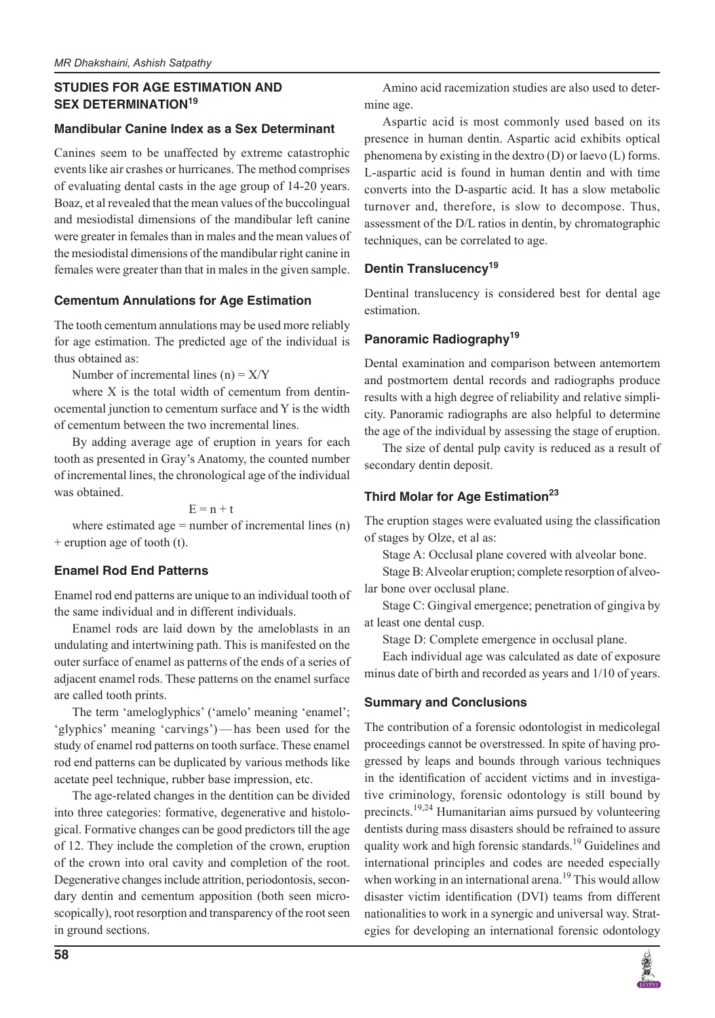# **STUDIES FOR AGE ESTIMATION AND SEX DETERMINATION<sup>19</sup>**

### **Mandibular Canine Index as a Sex Determinant**

Canines seem to be unaffected by extreme catastrophic events like air crashes or hurricanes. The method comprises of evaluating dental casts in the age group of 14-20 years. Boaz, et al revealed that the mean values of the buccolingual and mesiodistal dimensions of the mandibular left canine were greater in females than in males and the mean values of the mesiodistal dimensions of the mandibular right canine in females were greater than that in males in the given sample.

### **Cementum Annulations for Age Estimation**

The tooth cementum annulations may be used more reliably for age estimation. The predicted age of the individual is thus obtained as:

Number of incremental lines  $(n) = X/Y$ 

where X is the total width of cementum from dentinocemental junction to cementum surface and Y is the width of cementum between the two incremental lines.

By adding average age of eruption in years for each tooth as presented in Gray's Anatomy, the counted number of incremental lines, the chronological age of the individual was obtained.

 $E = n + t$ 

where estimated age  $=$  number of incremental lines  $(n)$ + eruption age of tooth (t).

# **Enamel Rod End Patterns**

Enamel rod end patterns are unique to an individual tooth of the same individual and in different individuals.

Enamel rods are laid down by the ameloblasts in an undulating and intertwining path. This is manifested on the outer surface of enamel as patterns of the ends of a series of adjacent enamel rods. These patterns on the enamel surface are called tooth prints.

The term 'ameloglyphics' ('amelo' meaning 'enamel'; 'glyphics' meaning 'carvings')—has been used for the study of enamel rod patterns on tooth surface. These enamel rod end patterns can be duplicated by various methods like acetate peel technique, rubber base impression, etc.

The age-related changes in the dentition can be divided into three categories: formative, degenerative and histological. Formative changes can be good predictors till the age of 12. They include the completion of the crown, eruption of the crown into oral cavity and completion of the root. Degenerative changes include attrition, periodontosis, secondary dentin and cementum apposition (both seen microscopically), root resorption and transparency of the root seen in ground sections.

Amino acid racemization studies are also used to determine age.

Aspartic acid is most commonly used based on its presence in human dentin. Aspartic acid exhibits optical phenomena by existing in the dextro (D) or laevo (L) forms. L-aspartic acid is found in human dentin and with time converts into the D-aspartic acid. It has a slow metabolic turnover and, therefore, is slow to decompose. Thus, assessment of the D/L ratios in dentin, by chromatographic techniques, can be correlated to age.

# **Dentin Translucency19**

Dentinal translucency is considered best for dental age estimation.

# **Panoramic Radiography19**

Dental examination and comparison between antemortem and postmortem dental records and radiographs produce results with a high degree of reliability and relative simplicity. Panoramic radiographs are also helpful to determine the age of the individual by assessing the stage of eruption.

The size of dental pulp cavity is reduced as a result of secondary dentin deposit.

# **Third Molar for Age Estimation23**

The eruption stages were evaluated using the classification of stages by Olze, et al as:

Stage A: Occlusal plane covered with alveolar bone.

Stage B: Alveolar eruption; complete resorption of alveolar bone over occlusal plane.

Stage C: Gingival emergence; penetration of gingiva by at least one dental cusp.

Stage D: Complete emergence in occlusal plane.

Each individual age was calculated as date of exposure minus date of birth and recorded as years and 1/10 of years.

# **Summary and Conclusions**

The contribution of a forensic odontologist in medicolegal proceedings cannot be overstressed. In spite of having progressed by leaps and bounds through various techniques in the identification of accident victims and in investigative criminology, forensic odontology is still bound by precincts.<sup>19,24</sup> Humanitarian aims pursued by volunteering dentists during mass disasters should be refrained to assure quality work and high forensic standards.<sup>19</sup> Guidelines and international principles and codes are needed especially when working in an international arena.<sup>19</sup> This would allow disaster victim identification (DVI) teams from different nationalities to work in a synergic and universal way. Strategies for developing an international forensic odontology